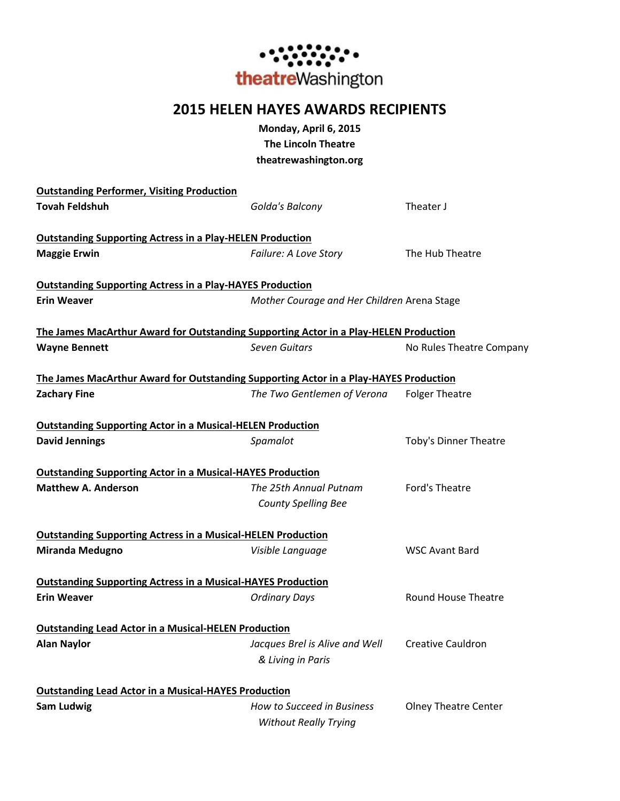

## **2015 HELEN HAYES AWARDS RECIPIENTS**

**Monday, April 6, 2015 The Lincoln Theatre theatrewashington.org**

| <b>Outstanding Performer, Visiting Production</b>                                     |                                                            |                              |
|---------------------------------------------------------------------------------------|------------------------------------------------------------|------------------------------|
| <b>Tovah Feldshuh</b>                                                                 | Golda's Balcony                                            | Theater J                    |
| <b>Outstanding Supporting Actress in a Play-HELEN Production</b>                      |                                                            |                              |
| <b>Maggie Erwin</b>                                                                   | Failure: A Love Story                                      | The Hub Theatre              |
| <b>Outstanding Supporting Actress in a Play-HAYES Production</b>                      |                                                            |                              |
| <b>Erin Weaver</b>                                                                    | Mother Courage and Her Children Arena Stage                |                              |
| The James MacArthur Award for Outstanding Supporting Actor in a Play-HELEN Production |                                                            |                              |
| <b>Wayne Bennett</b>                                                                  | <b>Seven Guitars</b>                                       | No Rules Theatre Company     |
| The James MacArthur Award for Outstanding Supporting Actor in a Play-HAYES Production |                                                            |                              |
| <b>Zachary Fine</b>                                                                   | The Two Gentlemen of Verona                                | <b>Folger Theatre</b>        |
| <b>Outstanding Supporting Actor in a Musical-HELEN Production</b>                     |                                                            |                              |
| <b>David Jennings</b>                                                                 | Spamalot                                                   | <b>Toby's Dinner Theatre</b> |
| <b>Outstanding Supporting Actor in a Musical-HAYES Production</b>                     |                                                            |                              |
| <b>Matthew A. Anderson</b>                                                            | The 25th Annual Putnam<br><b>County Spelling Bee</b>       | Ford's Theatre               |
| <b>Outstanding Supporting Actress in a Musical-HELEN Production</b>                   |                                                            |                              |
| <b>Miranda Medugno</b>                                                                | Visible Language                                           | <b>WSC Avant Bard</b>        |
| <b>Outstanding Supporting Actress in a Musical-HAYES Production</b>                   |                                                            |                              |
| <b>Erin Weaver</b>                                                                    | <b>Ordinary Days</b>                                       | Round House Theatre          |
| <b>Outstanding Lead Actor in a Musical-HELEN Production</b>                           |                                                            |                              |
| <b>Alan Naylor</b>                                                                    | Jacques Brel is Alive and Well<br>& Living in Paris        | <b>Creative Cauldron</b>     |
| <b>Outstanding Lead Actor in a Musical-HAYES Production</b>                           |                                                            |                              |
| <b>Sam Ludwig</b>                                                                     | How to Succeed in Business<br><b>Without Really Trying</b> | <b>Olney Theatre Center</b>  |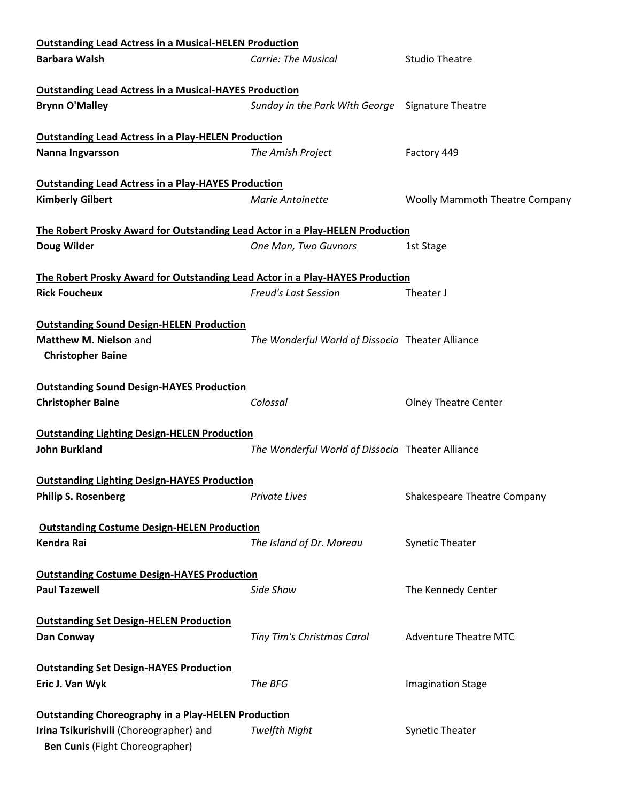| <b>Outstanding Lead Actress in a Musical-HELEN Production</b>                                          |                                                  |                                       |
|--------------------------------------------------------------------------------------------------------|--------------------------------------------------|---------------------------------------|
| <b>Barbara Walsh</b>                                                                                   | <b>Carrie: The Musical</b>                       | <b>Studio Theatre</b>                 |
| <b>Outstanding Lead Actress in a Musical-HAYES Production</b>                                          |                                                  |                                       |
| <b>Brynn O'Malley</b>                                                                                  | Sunday in the Park With George Signature Theatre |                                       |
| <b>Outstanding Lead Actress in a Play-HELEN Production</b>                                             |                                                  |                                       |
| Nanna Ingvarsson                                                                                       | The Amish Project                                | Factory 449                           |
| <b>Outstanding Lead Actress in a Play-HAYES Production</b>                                             |                                                  |                                       |
| <b>Kimberly Gilbert</b>                                                                                | <b>Marie Antoinette</b>                          | <b>Woolly Mammoth Theatre Company</b> |
| The Robert Prosky Award for Outstanding Lead Actor in a Play-HELEN Production                          |                                                  |                                       |
| Doug Wilder                                                                                            | One Man, Two Guvnors                             | 1st Stage                             |
| The Robert Prosky Award for Outstanding Lead Actor in a Play-HAYES Production                          |                                                  |                                       |
| <b>Rick Foucheux</b>                                                                                   | <b>Freud's Last Session</b>                      | Theater J                             |
| <b>Outstanding Sound Design-HELEN Production</b><br>Matthew M. Nielson and<br><b>Christopher Baine</b> | The Wonderful World of Dissocia Theater Alliance |                                       |
| <b>Outstanding Sound Design-HAYES Production</b>                                                       |                                                  |                                       |
| <b>Christopher Baine</b>                                                                               | Colossal                                         | <b>Olney Theatre Center</b>           |
| <b>Outstanding Lighting Design-HELEN Production</b>                                                    |                                                  |                                       |
| <b>John Burkland</b>                                                                                   | The Wonderful World of Dissocia Theater Alliance |                                       |
| <b>Outstanding Lighting Design-HAYES Production</b>                                                    |                                                  |                                       |
| <b>Philip S. Rosenberg</b>                                                                             | <b>Private Lives</b>                             | <b>Shakespeare Theatre Company</b>    |
| <b>Outstanding Costume Design-HELEN Production</b>                                                     |                                                  |                                       |
| <b>Kendra Rai</b>                                                                                      | The Island of Dr. Moreau                         | <b>Synetic Theater</b>                |
| <b>Outstanding Costume Design-HAYES Production</b>                                                     |                                                  |                                       |
| <b>Paul Tazewell</b>                                                                                   | Side Show                                        | The Kennedy Center                    |
| <b>Outstanding Set Design-HELEN Production</b>                                                         |                                                  |                                       |
| Dan Conway                                                                                             | Tiny Tim's Christmas Carol                       | <b>Adventure Theatre MTC</b>          |
| <b>Outstanding Set Design-HAYES Production</b><br>Eric J. Van Wyk                                      | The BFG                                          | <b>Imagination Stage</b>              |
|                                                                                                        |                                                  |                                       |
| <b>Outstanding Choreography in a Play-HELEN Production</b>                                             |                                                  |                                       |
| Irina Tsikurishvili (Choreographer) and<br><b>Ben Cunis (Fight Choreographer)</b>                      | <b>Twelfth Night</b>                             | <b>Synetic Theater</b>                |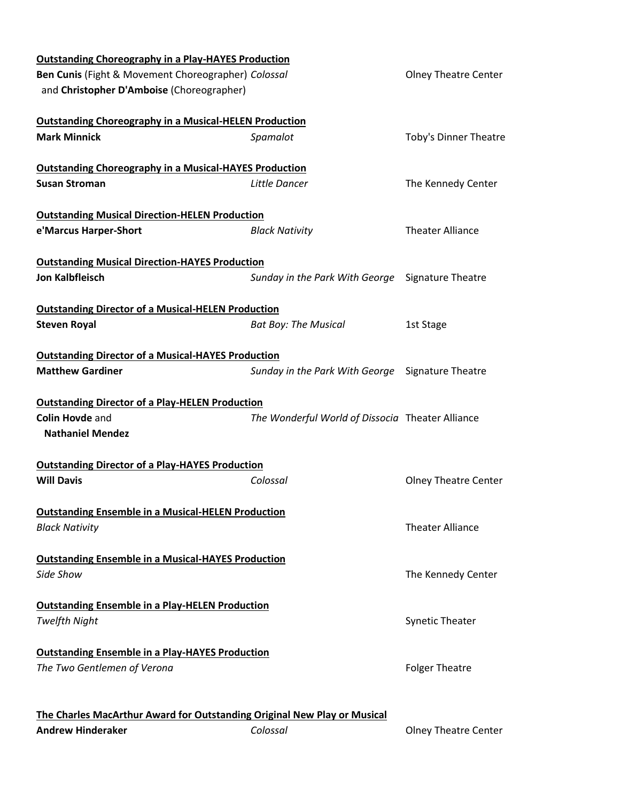| <b>Outstanding Choreography in a Play-HAYES Production</b>                                           |                                                  |                             |
|------------------------------------------------------------------------------------------------------|--------------------------------------------------|-----------------------------|
| Ben Cunis (Fight & Movement Choreographer) Colossal                                                  | <b>Olney Theatre Center</b>                      |                             |
| and Christopher D'Amboise (Choreographer)                                                            |                                                  |                             |
|                                                                                                      |                                                  |                             |
| <b>Outstanding Choreography in a Musical-HELEN Production</b><br><b>Mark Minnick</b>                 | Spamalot                                         |                             |
|                                                                                                      |                                                  | Toby's Dinner Theatre       |
| <b>Outstanding Choreography in a Musical-HAYES Production</b>                                        |                                                  |                             |
| <b>Susan Stroman</b>                                                                                 | Little Dancer                                    | The Kennedy Center          |
| <b>Outstanding Musical Direction-HELEN Production</b>                                                |                                                  |                             |
| e'Marcus Harper-Short                                                                                | <b>Black Nativity</b>                            | <b>Theater Alliance</b>     |
|                                                                                                      |                                                  |                             |
| <b>Outstanding Musical Direction-HAYES Production</b>                                                |                                                  |                             |
| <b>Jon Kalbfleisch</b>                                                                               | Sunday in the Park With George                   | Signature Theatre           |
|                                                                                                      |                                                  |                             |
| <b>Outstanding Director of a Musical-HELEN Production</b>                                            |                                                  |                             |
| <b>Steven Royal</b>                                                                                  | <b>Bat Boy: The Musical</b>                      | 1st Stage                   |
| <b>Outstanding Director of a Musical-HAYES Production</b>                                            |                                                  |                             |
| <b>Matthew Gardiner</b>                                                                              | Sunday in the Park With George                   | <b>Signature Theatre</b>    |
|                                                                                                      |                                                  |                             |
| <b>Outstanding Director of a Play-HELEN Production</b>                                               |                                                  |                             |
| <b>Colin Hovde and</b>                                                                               | The Wonderful World of Dissocia Theater Alliance |                             |
| <b>Nathaniel Mendez</b>                                                                              |                                                  |                             |
| <b>Outstanding Director of a Play-HAYES Production</b>                                               |                                                  |                             |
| <b>Will Davis</b>                                                                                    | Colossal                                         | <b>Olney Theatre Center</b> |
|                                                                                                      |                                                  |                             |
| <b>Outstanding Ensemble in a Musical-HELEN Production</b>                                            |                                                  |                             |
| <b>Black Nativity</b>                                                                                |                                                  | <b>Theater Alliance</b>     |
|                                                                                                      |                                                  |                             |
| <b>Outstanding Ensemble in a Musical-HAYES Production</b>                                            |                                                  |                             |
| Side Show                                                                                            |                                                  | The Kennedy Center          |
| <b>Outstanding Ensemble in a Play-HELEN Production</b>                                               |                                                  |                             |
| <b>Twelfth Night</b>                                                                                 |                                                  | <b>Synetic Theater</b>      |
|                                                                                                      |                                                  |                             |
| <b>Outstanding Ensemble in a Play-HAYES Production</b>                                               |                                                  |                             |
| The Two Gentlemen of Verona                                                                          |                                                  | <b>Folger Theatre</b>       |
|                                                                                                      |                                                  |                             |
|                                                                                                      |                                                  |                             |
| The Charles MacArthur Award for Outstanding Original New Play or Musical<br><b>Andrew Hinderaker</b> | Colossal                                         | <b>Olney Theatre Center</b> |
|                                                                                                      |                                                  |                             |